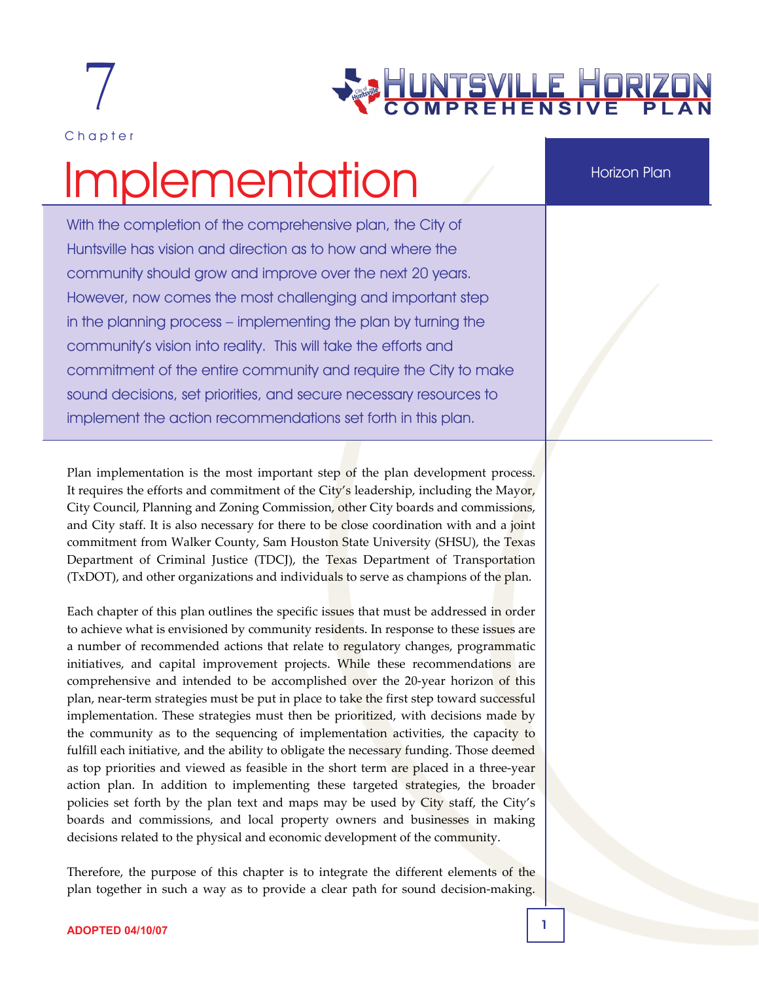

Chapter

# <u>VTSVILLE HORIZ</u><br>PREHENSIVE PL

# Implementation

With the completion of the comprehensive plan, the City of Huntsville has vision and direction as to how and where the community should grow and improve over the next 20 years. However, now comes the most challenging and important step in the planning process – implementing the plan by turning the community's vision into reality. This will take the efforts and commitment of the entire community and require the City to make sound decisions, set priorities, and secure necessary resources to implement the action recommendations set forth in this plan.

Plan implementation is the most important step of the plan development process. It requires the efforts and commitment of the City's leadership, including the Mayor, City Council, Planning and Zoning Commission, other City boards and commissions, and City staff. It is also necessary for there to be close coordination with and a joint commitment from Walker County, Sam Houston State University (SHSU), the Texas Department of Criminal Justice (TDCJ), the Texas Department of Transportation (TxDOT), and other organizations and individuals to serve as champions of the plan.

Each chapter of this plan outlines the specific issues that must be addressed in order to achieve what is envisioned by community residents. In response to these issues are a number of recommended actions that relate to regulatory changes, programmatic initiatives, and capital improvement projects. While these recommendations are comprehensive and intended to be accomplished over the 20-year horizon of this plan, near‐term strategies must be put in place to take the first step toward successful implementation. These strategies must then be prioritized, with decisions made by the community as to the sequencing of implementation activities, the capacity to fulfill each initiative, and the ability to obligate the necessary funding. Those deemed as top priorities and viewed as feasible in the short term are placed in a three-year action plan. In addition to implementing these targeted strategies, the broader policies set forth by the plan text and maps may be used by City staff, the City's boards and commissions, and local property owners and businesses in making decisions related to the physical and economic development of the community.

Therefore, the purpose of this chapter is to integrate the different elements of the plan together in such a way as to provide a clear path for sound decision‐making.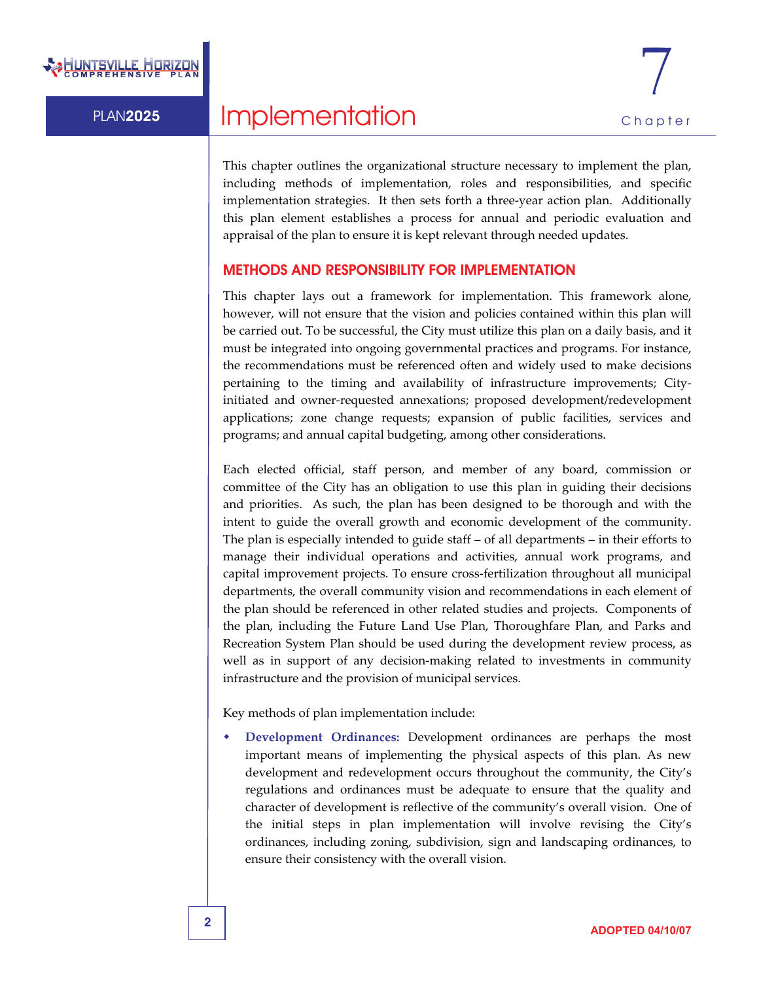

This chapter outlines the organizational structure necessary to implement the plan, including methods of implementation, roles and responsibilities, and specific implementation strategies. It then sets forth a three-year action plan. Additionally this plan element establishes a process for annual and periodic evaluation and appraisal of the plan to ensure it is kept relevant through needed updates.

### METHODS AND RESPONSIBILITY FOR IMPLEMENTATION

This chapter lays out a framework for implementation. This framework alone, however, will not ensure that the vision and policies contained within this plan will be carried out. To be successful, the City must utilize this plan on a daily basis, and it must be integrated into ongoing governmental practices and programs. For instance, the recommendations must be referenced often and widely used to make decisions pertaining to the timing and availability of infrastructure improvements; Cityinitiated and owner-requested annexations; proposed development/redevelopment applications; zone change requests; expansion of public facilities, services and programs; and annual capital budgeting, among other considerations.

Each elected official, staff person, and member of any board, commission or committee of the City has an obligation to use this plan in guiding their decisions and priorities. As such, the plan has been designed to be thorough and with the intent to guide the overall growth and economic development of the community. The plan is especially intended to guide staff – of all departments – in their efforts to manage their individual operations and activities, annual work programs, and capital improvement projects. To ensure cross‐fertilization throughout all municipal departments, the overall community vision and recommendations in each element of the plan should be referenced in other related studies and projects. Components of the plan, including the Future Land Use Plan, Thoroughfare Plan, and Parks and Recreation System Plan should be used during the development review process, as well as in support of any decision-making related to investments in community infrastructure and the provision of municipal services.

Key methods of plan implementation include:

 **Development Ordinances:** Development ordinances are perhaps the most important means of implementing the physical aspects of this plan. As new development and redevelopment occurs throughout the community, the City's regulations and ordinances must be adequate to ensure that the quality and character of development is reflective of the community's overall vision. One of the initial steps in plan implementation will involve revising the City's ordinances, including zoning, subdivision, sign and landscaping ordinances, to ensure their consistency with the overall vision.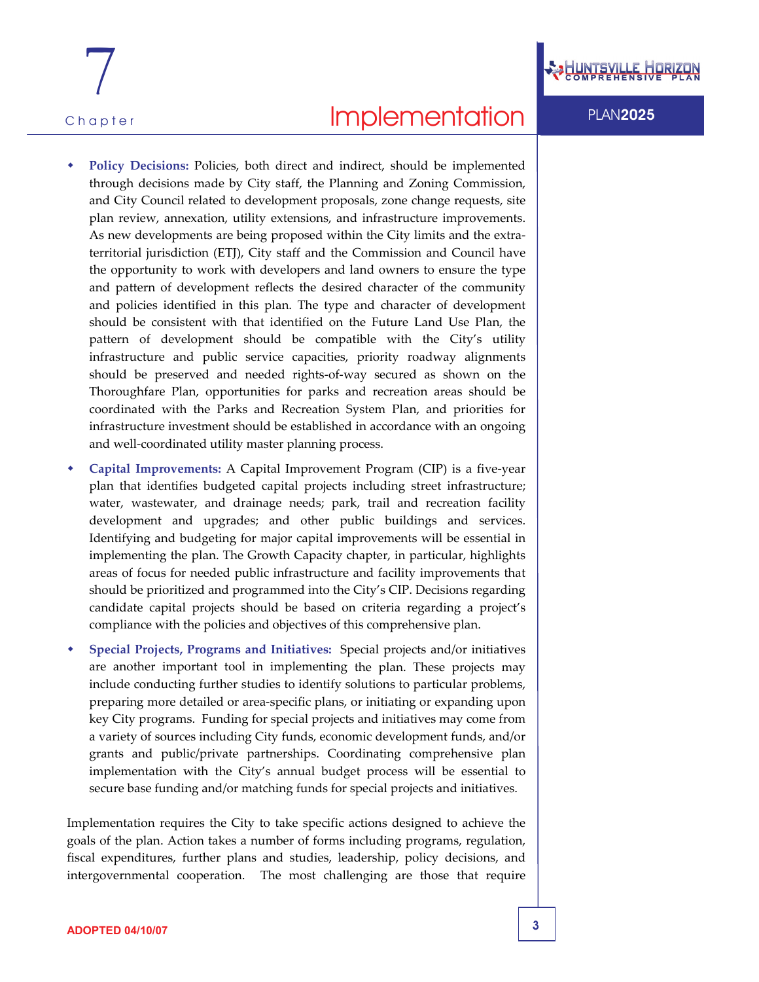



- **Policy Decisions:** Policies, both direct and indirect, should be implemented through decisions made by City staff, the Planning and Zoning Commission, and City Council related to development proposals, zone change requests, site plan review, annexation, utility extensions, and infrastructure improvements. As new developments are being proposed within the City limits and the extra‐ territorial jurisdiction (ETJ), City staff and the Commission and Council have the opportunity to work with developers and land owners to ensure the type and pattern of development reflects the desired character of the community and policies identified in this plan. The type and character of development should be consistent with that identified on the Future Land Use Plan, the pattern of development should be compatible with the City's utility infrastructure and public service capacities, priority roadway alignments should be preserved and needed rights‐of‐way secured as shown on the Thoroughfare Plan, opportunities for parks and recreation areas should be coordinated with the Parks and Recreation System Plan, and priorities for infrastructure investment should be established in accordance with an ongoing and well‐coordinated utility master planning process.
- **Capital Improvements:** A Capital Improvement Program (CIP) is a five‐year plan that identifies budgeted capital projects including street infrastructure; water, wastewater, and drainage needs; park, trail and recreation facility development and upgrades; and other public buildings and services. Identifying and budgeting for major capital improvements will be essential in implementing the plan. The Growth Capacity chapter, in particular, highlights areas of focus for needed public infrastructure and facility improvements that should be prioritized and programmed into the City's CIP. Decisions regarding candidate capital projects should be based on criteria regarding a project's compliance with the policies and objectives of this comprehensive plan.
- **Special Projects, Programs and Initiatives:** Special projects and/or initiatives are another important tool in implementing the plan. These projects may include conducting further studies to identify solutions to particular problems, preparing more detailed or area‐specific plans, or initiating or expanding upon key City programs. Funding for special projects and initiatives may come from a variety of sources including City funds, economic development funds, and/or grants and public/private partnerships. Coordinating comprehensive plan implementation with the City's annual budget process will be essential to secure base funding and/or matching funds for special projects and initiatives.

Implementation requires the City to take specific actions designed to achieve the goals of the plan. Action takes a number of forms including programs, regulation, fiscal expenditures, further plans and studies, leadership, policy decisions, and intergovernmental cooperation. The most challenging are those that require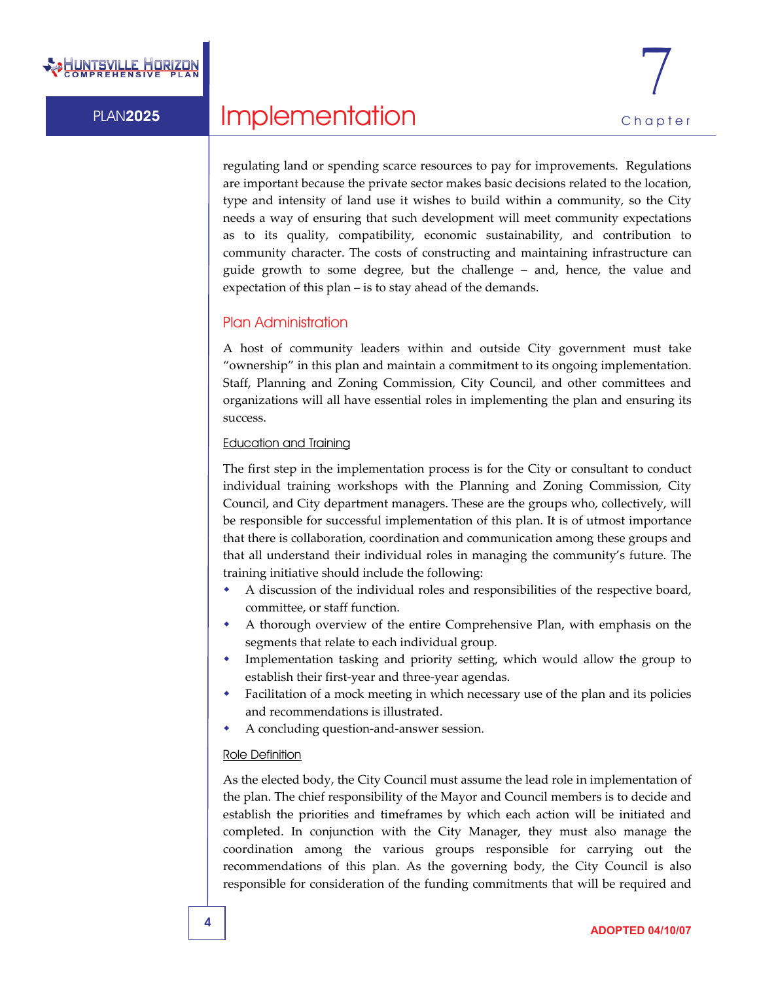

regulating land or spending scarce resources to pay for improvements. Regulations are important because the private sector makes basic decisions related to the location, type and intensity of land use it wishes to build within a community, so the City needs a way of ensuring that such development will meet community expectations as to its quality, compatibility, economic sustainability, and contribution to community character. The costs of constructing and maintaining infrastructure can guide growth to some degree, but the challenge – and, hence, the value and expectation of this plan – is to stay ahead of the demands.

### Plan Administration

A host of community leaders within and outside City government must take "ownership" in this plan and maintain a commitment to its ongoing implementation. Staff, Planning and Zoning Commission, City Council, and other committees and organizations will all have essential roles in implementing the plan and ensuring its success.

### Education and Training

The first step in the implementation process is for the City or consultant to conduct individual training workshops with the Planning and Zoning Commission, City Council, and City department managers. These are the groups who, collectively, will be responsible for successful implementation of this plan. It is of utmost importance that there is collaboration, coordination and communication among these groups and that all understand their individual roles in managing the community's future. The training initiative should include the following:

- A discussion of the individual roles and responsibilities of the respective board, committee, or staff function.
- A thorough overview of the entire Comprehensive Plan, with emphasis on the segments that relate to each individual group.
- Implementation tasking and priority setting, which would allow the group to establish their first‐year and three‐year agendas.
- Facilitation of a mock meeting in which necessary use of the plan and its policies and recommendations is illustrated.
- A concluding question‐and‐answer session.

### Role Definition

As the elected body, the City Council must assume the lead role in implementation of the plan. The chief responsibility of the Mayor and Council members is to decide and establish the priorities and timeframes by which each action will be initiated and completed. In conjunction with the City Manager, they must also manage the coordination among the various groups responsible for carrying out the recommendations of this plan. As the governing body, the City Council is also responsible for consideration of the funding commitments that will be required and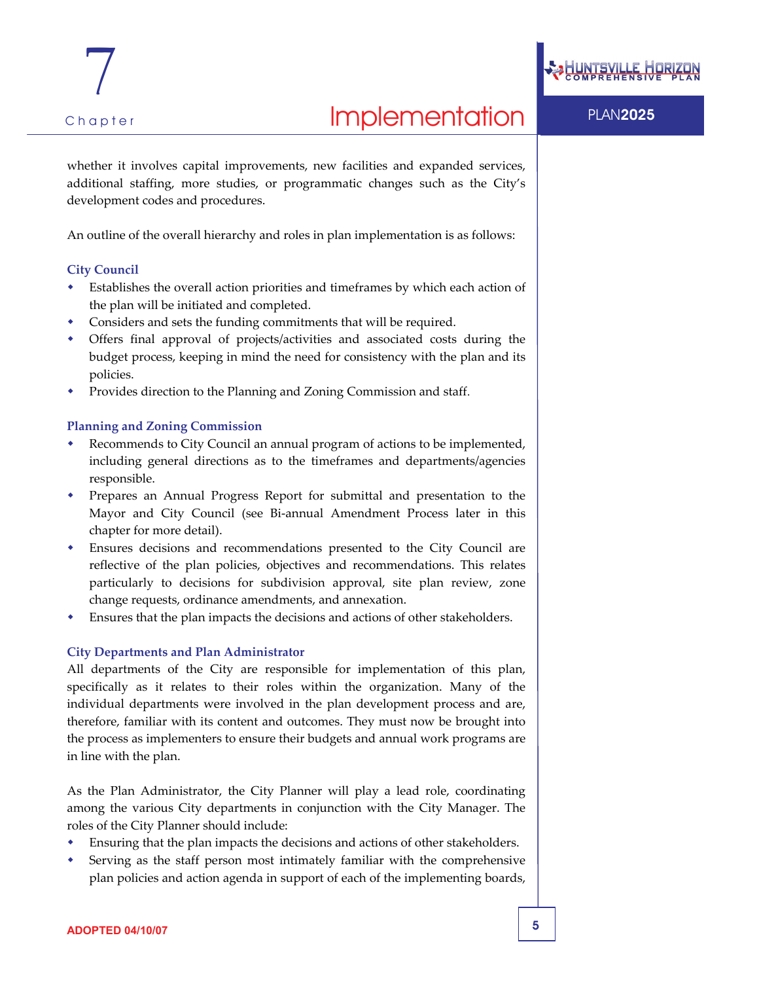whether it involves capital improvements, new facilities and expanded services, additional staffing, more studies, or programmatic changes such as the City's

An outline of the overall hierarchy and roles in plan implementation is as follows:

### **City Council**

- Establishes the overall action priorities and timeframes by which each action of the plan will be initiated and completed.
- Considers and sets the funding commitments that will be required.
- Offers final approval of projects/activities and associated costs during the budget process, keeping in mind the need for consistency with the plan and its policies.
- Provides direction to the Planning and Zoning Commission and staff.

### **Planning and Zoning Commission**

development codes and procedures.

- Recommends to City Council an annual program of actions to be implemented, including general directions as to the timeframes and departments/agencies responsible.
- Prepares an Annual Progress Report for submittal and presentation to the Mayor and City Council (see Bi‐annual Amendment Process later in this chapter for more detail).
- Ensures decisions and recommendations presented to the City Council are reflective of the plan policies, objectives and recommendations. This relates particularly to decisions for subdivision approval, site plan review, zone change requests, ordinance amendments, and annexation.
- Ensures that the plan impacts the decisions and actions of other stakeholders.

### **City Departments and Plan Administrator**

All departments of the City are responsible for implementation of this plan, specifically as it relates to their roles within the organization. Many of the individual departments were involved in the plan development process and are, therefore, familiar with its content and outcomes. They must now be brought into the process as implementers to ensure their budgets and annual work programs are in line with the plan.

As the Plan Administrator, the City Planner will play a lead role, coordinating among the various City departments in conjunction with the City Manager. The roles of the City Planner should include:

- Ensuring that the plan impacts the decisions and actions of other stakeholders.
- Serving as the staff person most intimately familiar with the comprehensive plan policies and action agenda in support of each of the implementing boards,

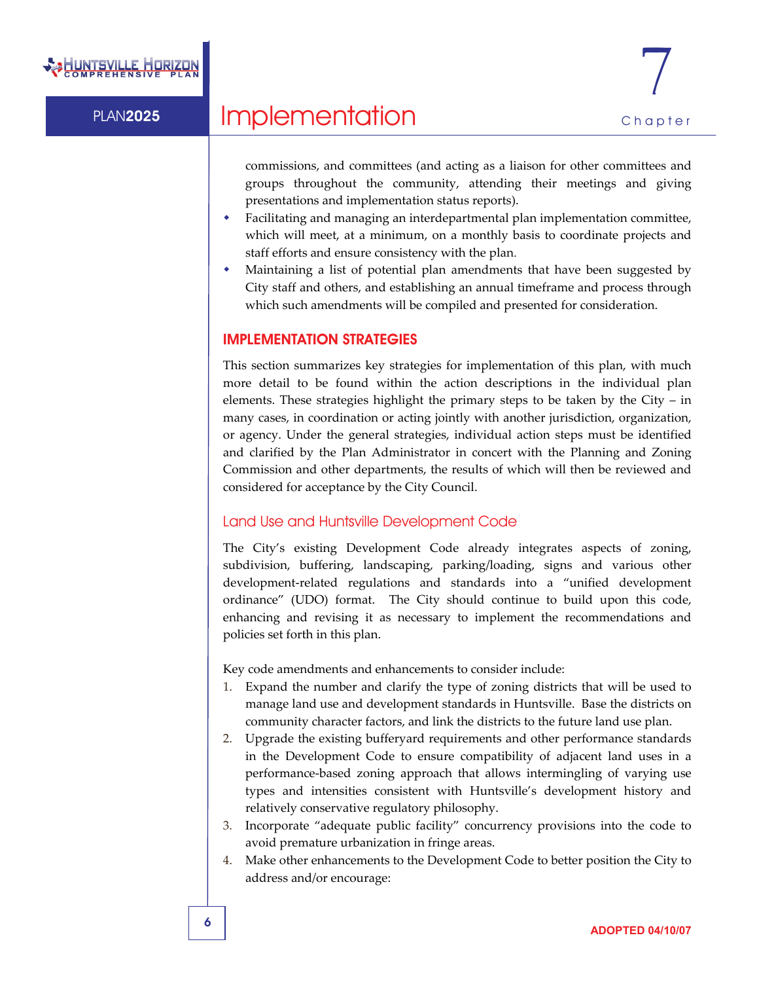

commissions, and committees (and acting as a liaison for other committees and groups throughout the community, attending their meetings and giving presentations and implementation status reports).

- Facilitating and managing an interdepartmental plan implementation committee, which will meet, at a minimum, on a monthly basis to coordinate projects and staff efforts and ensure consistency with the plan.
- Maintaining a list of potential plan amendments that have been suggested by City staff and others, and establishing an annual timeframe and process through which such amendments will be compiled and presented for consideration.

### IMPLEMENTATION STRATEGIES

This section summarizes key strategies for implementation of this plan, with much more detail to be found within the action descriptions in the individual plan elements. These strategies highlight the primary steps to be taken by the City – in many cases, in coordination or acting jointly with another jurisdiction, organization, or agency. Under the general strategies, individual action steps must be identified and clarified by the Plan Administrator in concert with the Planning and Zoning Commission and other departments, the results of which will then be reviewed and considered for acceptance by the City Council.

### Land Use and Huntsville Development Code

The City's existing Development Code already integrates aspects of zoning, subdivision, buffering, landscaping, parking/loading, signs and various other development‐related regulations and standards into a "unified development ordinance" (UDO) format. The City should continue to build upon this code, enhancing and revising it as necessary to implement the recommendations and policies set forth in this plan.

Key code amendments and enhancements to consider include:

- 1. Expand the number and clarify the type of zoning districts that will be used to manage land use and development standards in Huntsville. Base the districts on community character factors, and link the districts to the future land use plan.
- 2. Upgrade the existing bufferyard requirements and other performance standards in the Development Code to ensure compatibility of adjacent land uses in a performance‐based zoning approach that allows intermingling of varying use types and intensities consistent with Huntsville's development history and relatively conservative regulatory philosophy.
- 3. Incorporate "adequate public facility" concurrency provisions into the code to avoid premature urbanization in fringe areas.
- 4. Make other enhancements to the Development Code to better position the City to address and/or encourage: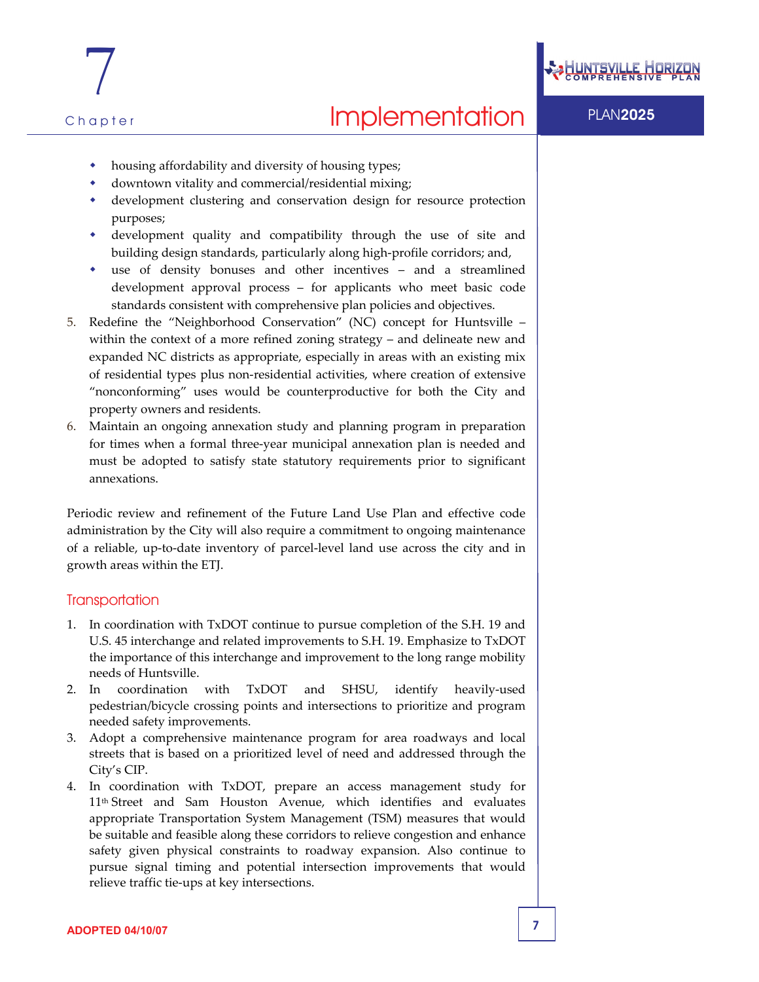



7

- housing affordability and diversity of housing types;
- downtown vitality and commercial/residential mixing;
- development clustering and conservation design for resource protection purposes;
- development quality and compatibility through the use of site and building design standards, particularly along high‐profile corridors; and,
- use of density bonuses and other incentives and a streamlined development approval process – for applicants who meet basic code standards consistent with comprehensive plan policies and objectives.
- 5. Redefine the "Neighborhood Conservation" (NC) concept for Huntsville within the context of a more refined zoning strategy – and delineate new and expanded NC districts as appropriate, especially in areas with an existing mix of residential types plus non‐residential activities, where creation of extensive "nonconforming" uses would be counterproductive for both the City and property owners and residents.
- 6. Maintain an ongoing annexation study and planning program in preparation for times when a formal three‐year municipal annexation plan is needed and must be adopted to satisfy state statutory requirements prior to significant annexations.

Periodic review and refinement of the Future Land Use Plan and effective code administration by the City will also require a commitment to ongoing maintenance of a reliable, up‐to‐date inventory of parcel‐level land use across the city and in growth areas within the ETJ.

### **Transportation**

- 1. In coordination with TxDOT continue to pursue completion of the S.H. 19 and U.S. 45 interchange and related improvements to S.H. 19. Emphasize to TxDOT the importance of this interchange and improvement to the long range mobility needs of Huntsville.
- 2. In coordination with TxDOT and SHSU, identify heavily‐used pedestrian/bicycle crossing points and intersections to prioritize and program needed safety improvements.
- 3. Adopt a comprehensive maintenance program for area roadways and local streets that is based on a prioritized level of need and addressed through the City's CIP.
- 4. In coordination with TxDOT, prepare an access management study for 11th Street and Sam Houston Avenue, which identifies and evaluates appropriate Transportation System Management (TSM) measures that would be suitable and feasible along these corridors to relieve congestion and enhance safety given physical constraints to roadway expansion. Also continue to pursue signal timing and potential intersection improvements that would relieve traffic tie‐ups at key intersections.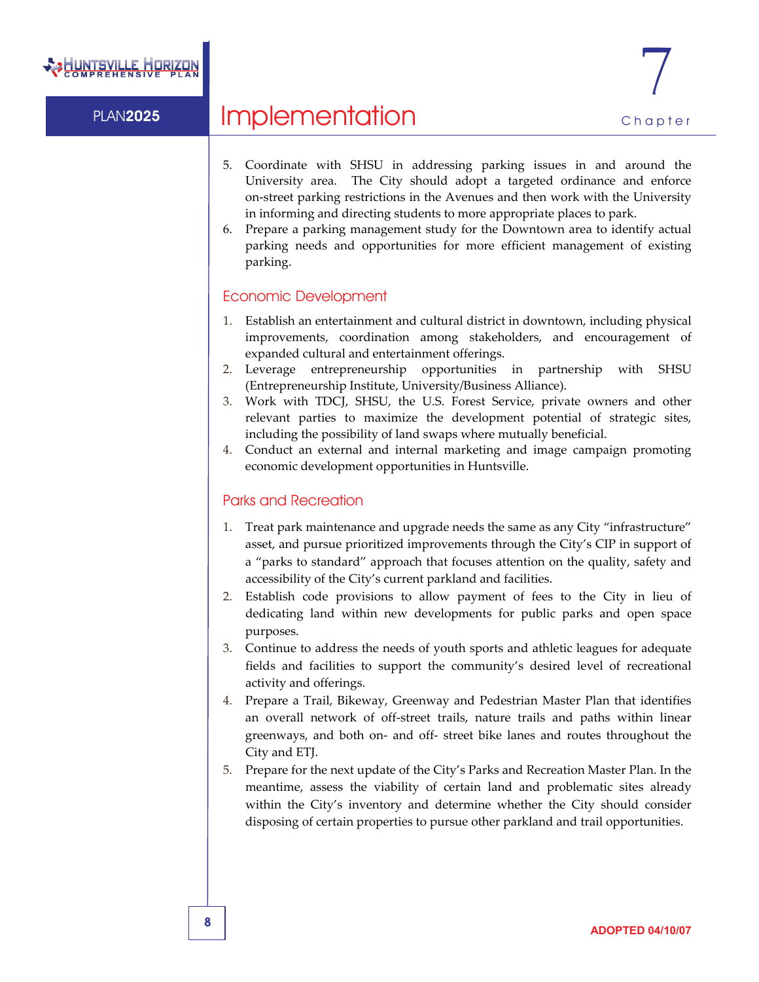

# PLAN2025 Implementation Chapter

- 5. Coordinate with SHSU in addressing parking issues in and around the University area. The City should adopt a targeted ordinance and enforce on‐street parking restrictions in the Avenues and then work with the University in informing and directing students to more appropriate places to park.
- 6. Prepare a parking management study for the Downtown area to identify actual parking needs and opportunities for more efficient management of existing parking.

### Economic Development

- 1. Establish an entertainment and cultural district in downtown, including physical improvements, coordination among stakeholders, and encouragement of expanded cultural and entertainment offerings.
- 2. Leverage entrepreneurship opportunities in partnership with SHSU (Entrepreneurship Institute, University/Business Alliance).
- 3. Work with TDCJ, SHSU, the U.S. Forest Service, private owners and other relevant parties to maximize the development potential of strategic sites, including the possibility of land swaps where mutually beneficial.
- 4. Conduct an external and internal marketing and image campaign promoting economic development opportunities in Huntsville.

### Parks and Recreation

- 1. Treat park maintenance and upgrade needs the same as any City "infrastructure" asset, and pursue prioritized improvements through the City's CIP in support of a "parks to standard" approach that focuses attention on the quality, safety and accessibility of the City's current parkland and facilities.
- 2. Establish code provisions to allow payment of fees to the City in lieu of dedicating land within new developments for public parks and open space purposes.
- 3. Continue to address the needs of youth sports and athletic leagues for adequate fields and facilities to support the community's desired level of recreational activity and offerings.
- 4. Prepare a Trail, Bikeway, Greenway and Pedestrian Master Plan that identifies an overall network of off‐street trails, nature trails and paths within linear greenways, and both on‐ and off‐ street bike lanes and routes throughout the City and ETJ.
- 5. Prepare for the next update of the City's Parks and Recreation Master Plan. In the meantime, assess the viability of certain land and problematic sites already within the City's inventory and determine whether the City should consider disposing of certain properties to pursue other parkland and trail opportunities.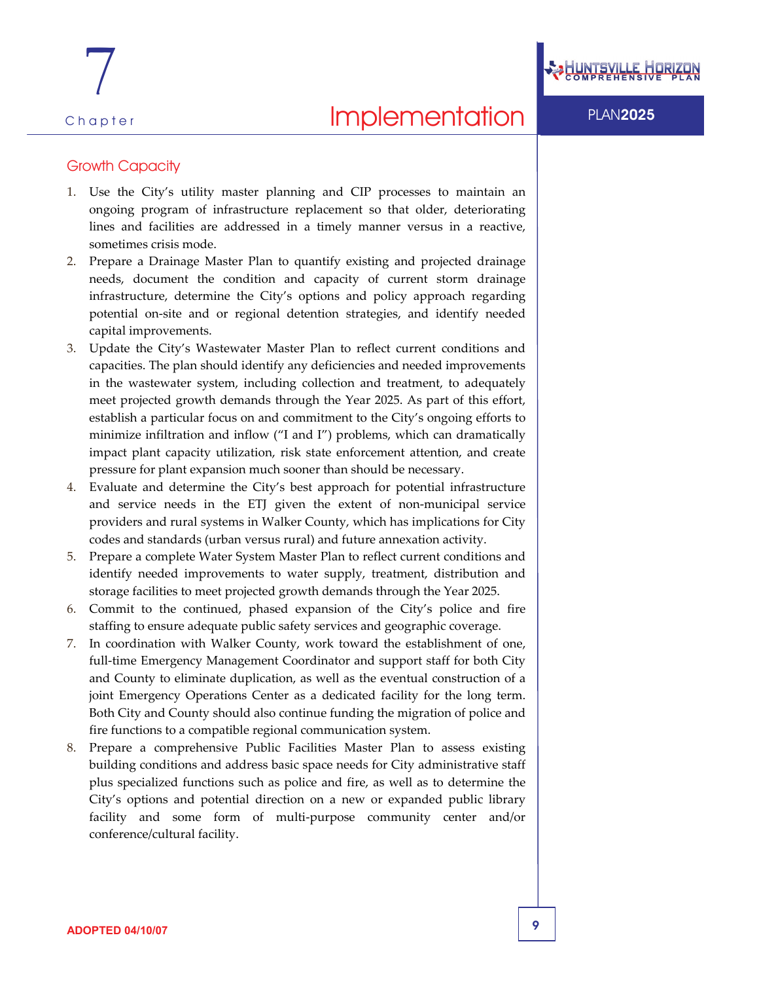### Growth Capacity

- 1. Use the City's utility master planning and CIP processes to maintain an ongoing program of infrastructure replacement so that older, deteriorating lines and facilities are addressed in a timely manner versus in a reactive, sometimes crisis mode.
- 2. Prepare a Drainage Master Plan to quantify existing and projected drainage needs, document the condition and capacity of current storm drainage infrastructure, determine the City's options and policy approach regarding potential on‐site and or regional detention strategies, and identify needed capital improvements.
- 3. Update the City's Wastewater Master Plan to reflect current conditions and capacities. The plan should identify any deficiencies and needed improvements in the wastewater system, including collection and treatment, to adequately meet projected growth demands through the Year 2025. As part of this effort, establish a particular focus on and commitment to the City's ongoing efforts to minimize infiltration and inflow ("I and I") problems, which can dramatically impact plant capacity utilization, risk state enforcement attention, and create pressure for plant expansion much sooner than should be necessary.
- 4. Evaluate and determine the City's best approach for potential infrastructure and service needs in the ETJ given the extent of non‐municipal service providers and rural systems in Walker County, which has implications for City codes and standards (urban versus rural) and future annexation activity.
- 5. Prepare a complete Water System Master Plan to reflect current conditions and identify needed improvements to water supply, treatment, distribution and storage facilities to meet projected growth demands through the Year 2025.
- 6. Commit to the continued, phased expansion of the City's police and fire staffing to ensure adequate public safety services and geographic coverage.
- 7. In coordination with Walker County, work toward the establishment of one, full-time Emergency Management Coordinator and support staff for both City and County to eliminate duplication, as well as the eventual construction of a joint Emergency Operations Center as a dedicated facility for the long term. Both City and County should also continue funding the migration of police and fire functions to a compatible regional communication system.
- 8. Prepare a comprehensive Public Facilities Master Plan to assess existing building conditions and address basic space needs for City administrative staff plus specialized functions such as police and fire, as well as to determine the City's options and potential direction on a new or expanded public library facility and some form of multi‐purpose community center and/or conference/cultural facility.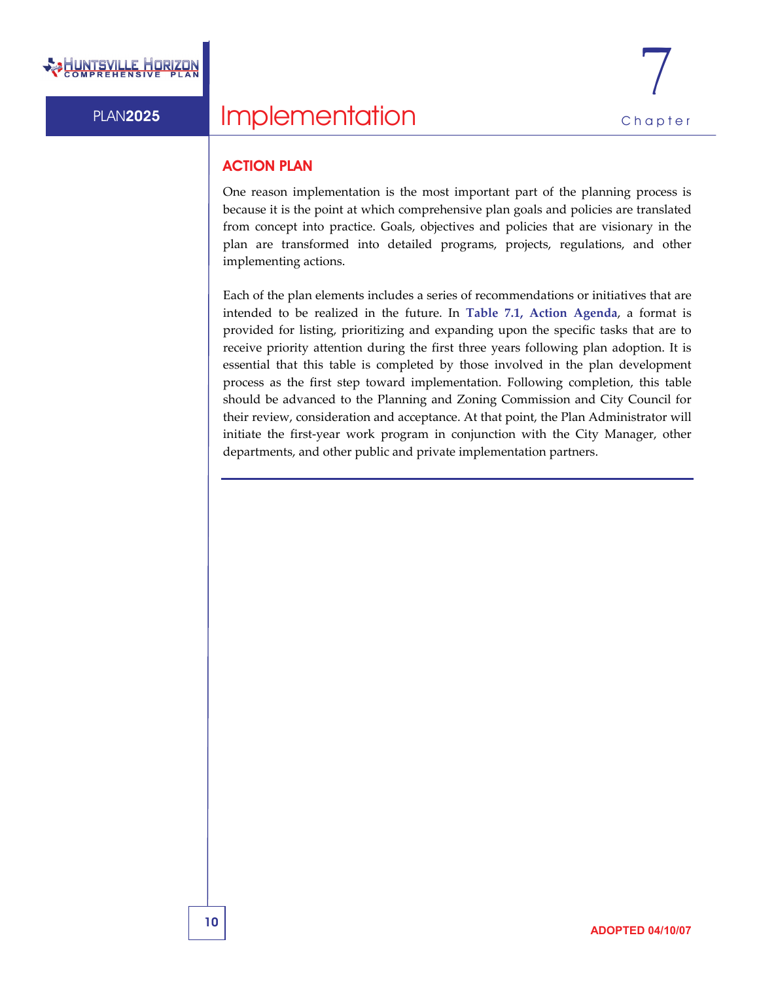### ACTION PLAN

One reason implementation is the most important part of the planning process is because it is the point at which comprehensive plan goals and policies are translated from concept into practice. Goals, objectives and policies that are visionary in the plan are transformed into detailed programs, projects, regulations, and other implementing actions.

Each of the plan elements includes a series of recommendations or initiatives that are intended to be realized in the future. In **Table 7.1, Action Agenda**, a format is provided for listing, prioritizing and expanding upon the specific tasks that are to receive priority attention during the first three years following plan adoption. It is essential that this table is completed by those involved in the plan development process as the first step toward implementation. Following completion, this table should be advanced to the Planning and Zoning Commission and City Council for their review, consideration and acceptance. At that point, the Plan Administrator will initiate the first-year work program in conjunction with the City Manager, other departments, and other public and private implementation partners.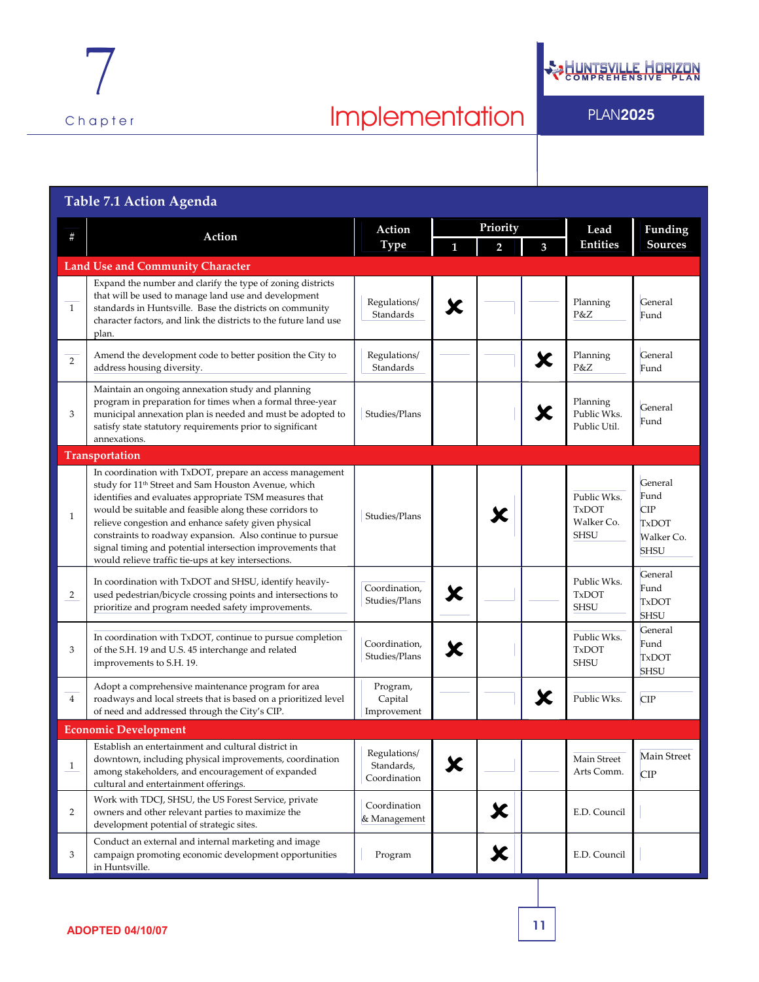

**ON** 

| Table 7.1 Action Agenda                 |                                                                                                                                                                                                                                                                                                                                                                                                                                                                                            |                                            |              |                |   |                                                          |                                                                            |  |
|-----------------------------------------|--------------------------------------------------------------------------------------------------------------------------------------------------------------------------------------------------------------------------------------------------------------------------------------------------------------------------------------------------------------------------------------------------------------------------------------------------------------------------------------------|--------------------------------------------|--------------|----------------|---|----------------------------------------------------------|----------------------------------------------------------------------------|--|
| #                                       | Action                                                                                                                                                                                                                                                                                                                                                                                                                                                                                     | Action<br><b>Type</b>                      | Priority     |                |   | Lead                                                     | Funding                                                                    |  |
|                                         |                                                                                                                                                                                                                                                                                                                                                                                                                                                                                            |                                            | $\mathbf{1}$ | $\overline{2}$ | 3 | <b>Entities</b>                                          | <b>Sources</b>                                                             |  |
| <b>Land Use and Community Character</b> |                                                                                                                                                                                                                                                                                                                                                                                                                                                                                            |                                            |              |                |   |                                                          |                                                                            |  |
| $\mathbf{1}$                            | Expand the number and clarify the type of zoning districts<br>that will be used to manage land use and development<br>standards in Huntsville. Base the districts on community<br>character factors, and link the districts to the future land use<br>plan.                                                                                                                                                                                                                                | Regulations/<br>Standards                  | Х            |                |   | Planning<br>P&Z                                          | General<br>Fund                                                            |  |
| $\overline{2}$                          | Amend the development code to better position the City to<br>address housing diversity.                                                                                                                                                                                                                                                                                                                                                                                                    | Regulations/<br>Standards                  |              |                | X | Planning<br>P&Z                                          | General<br>Fund                                                            |  |
| 3                                       | Maintain an ongoing annexation study and planning<br>program in preparation for times when a formal three-year<br>municipal annexation plan is needed and must be adopted to<br>satisfy state statutory requirements prior to significant<br>annexations.                                                                                                                                                                                                                                  | Studies/Plans                              |              |                |   | Planning<br>Public Wks.<br>Public Util.                  | General<br>Fund                                                            |  |
| Transportation                          |                                                                                                                                                                                                                                                                                                                                                                                                                                                                                            |                                            |              |                |   |                                                          |                                                                            |  |
| $\mathbf{1}$                            | In coordination with TxDOT, prepare an access management<br>study for 11 <sup>th</sup> Street and Sam Houston Avenue, which<br>identifies and evaluates appropriate TSM measures that<br>would be suitable and feasible along these corridors to<br>relieve congestion and enhance safety given physical<br>constraints to roadway expansion. Also continue to pursue<br>signal timing and potential intersection improvements that<br>would relieve traffic tie-ups at key intersections. | Studies/Plans                              |              | Х              |   | Public Wks.<br><b>TxDOT</b><br>Walker Co.<br><b>SHSU</b> | General<br>Fund<br><b>CIP</b><br><b>TxDOT</b><br>Walker Co.<br><b>SHSU</b> |  |
| 2                                       | In coordination with TxDOT and SHSU, identify heavily-<br>used pedestrian/bicycle crossing points and intersections to<br>prioritize and program needed safety improvements.                                                                                                                                                                                                                                                                                                               | Coordination,<br>Studies/Plans             | X            |                |   | Public Wks.<br><b>TxDOT</b><br><b>SHSU</b>               | General<br>Fund<br><b>TxDOT</b><br><b>SHSU</b>                             |  |
| 3                                       | In coordination with TxDOT, continue to pursue completion<br>of the S.H. 19 and U.S. 45 interchange and related<br>improvements to S.H. 19.                                                                                                                                                                                                                                                                                                                                                | Coordination,<br>Studies/Plans             | X            |                |   | Public Wks.<br><b>TxDOT</b><br><b>SHSU</b>               | General<br>Fund<br><b>TxDOT</b><br><b>SHSU</b>                             |  |
| $\overline{4}$                          | Adopt a comprehensive maintenance program for area<br>roadways and local streets that is based on a prioritized level<br>of need and addressed through the City's CIP.                                                                                                                                                                                                                                                                                                                     | Program,<br>Capital<br>Improvement         |              |                | Х | Public Wks.                                              | <b>CIP</b>                                                                 |  |
| <b>Economic Development</b>             |                                                                                                                                                                                                                                                                                                                                                                                                                                                                                            |                                            |              |                |   |                                                          |                                                                            |  |
| $\mathbf{1}$                            | Establish an entertainment and cultural district in<br>downtown, including physical improvements, coordination<br>among stakeholders, and encouragement of expanded<br>cultural and entertainment offerings.                                                                                                                                                                                                                                                                               | Regulations/<br>Standards,<br>Coordination | X            |                |   | Main Street<br>Arts Comm.                                | Main Street<br><b>CIP</b>                                                  |  |
| $\overline{2}$                          | Work with TDCJ, SHSU, the US Forest Service, private<br>owners and other relevant parties to maximize the<br>development potential of strategic sites.                                                                                                                                                                                                                                                                                                                                     | Coordination<br>& Management               |              | X              |   | E.D. Council                                             |                                                                            |  |
| 3                                       | Conduct an external and internal marketing and image<br>campaign promoting economic development opportunities<br>in Huntsville.                                                                                                                                                                                                                                                                                                                                                            | Program                                    |              | X              |   | E.D. Council                                             |                                                                            |  |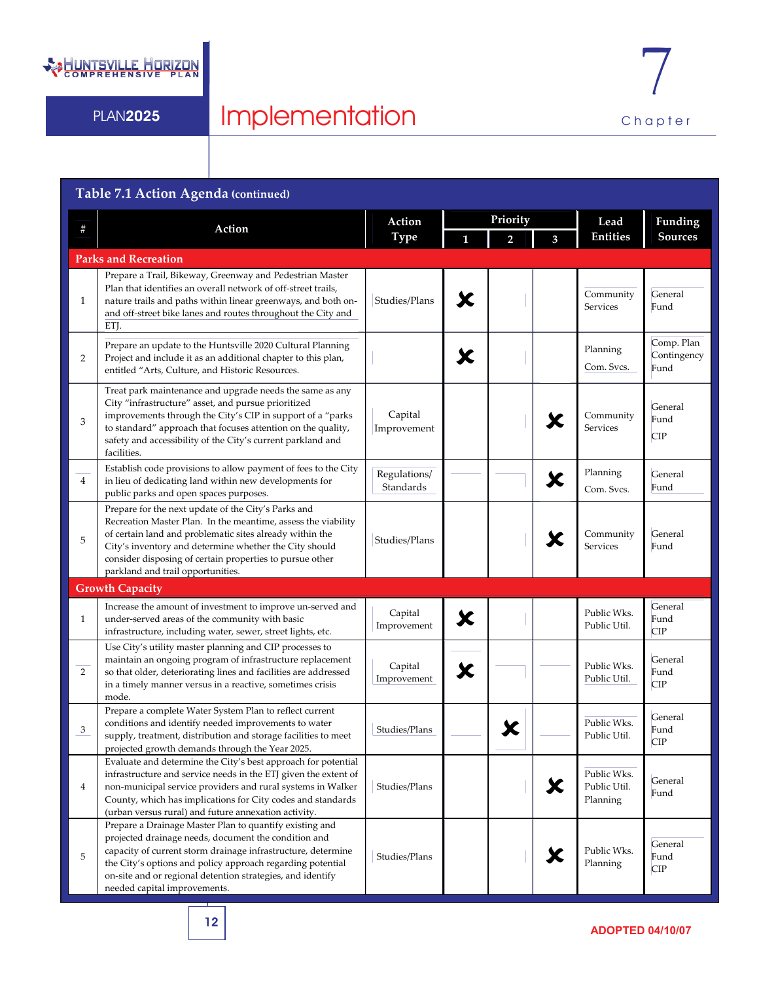

### **Table 7.1 Action Agenda (continued) Priority # Action Action Type 1 2 3 Lead Entities Funding Sources Parks and Recreation** 1 Prepare a Trail, Bikeway, Greenway and Pedestrian Master Plan that identifies an overall network of off‐street trails, nature trails and paths within linear greenways, and both on‐ and off‐street bike lanes and routes throughout the City and ETI. Studies/Plans  $\left\| \boldsymbol{\mathcal{K}} \right\|$  Community Services General Fund 2 Prepare an update to the Huntsville 2020 Cultural Planning Project and include it as an additional chapter to this plan, entitled "Arts, Culture, and Historic Resources.  $\begin{array}{c|c|c|c} \hline \textbf{1} & \textbf{Planning} \\\hline \textbf{1} & \textbf{Com. Sw} \\\hline \end{array}$ Com. Svcs. Comp. Plan Contingency Fund 3 Treat park maintenance and upgrade needs the same as any City "infrastructure" asset, and pursue prioritized improvements through the City's CIP in support of a "parks to standard" approach that focuses attention on the quality, safety and accessibility of the City's current parkland and facilities Capital Capital Improvement **8 Community** Services General Fund CIP 4 Establish code provisions to allow payment of fees to the City in lieu of dedicating land within new developments for public parks and open spaces purposes. Regulations/ Examples 1 Planning<br>Standards Com. Svd Com. Svcs. General Fund 5 Prepare for the next update of the City's Parks and Recreation Master Plan. In the meantime, assess the viability of certain land and problematic sites already within the City's inventory and determine whether the City should consider disposing of certain properties to pursue other parkland and trail opportunities. Studies/Plans **8 Community** Services General Fund **Growth Capacity** 1 Increase the amount of investment to improve un‐served and under‐served areas of the community with basic infrastructure, including water, sewer, street lights, etc. Capital Capital **X** Public Wks.<br>Improvement Public Util. Public Util. General Fund CIP 2 Use City's utility master planning and CIP processes to maintain an ongoing program of infrastructure replacement so that older, deteriorating lines and facilities are addressed in a timely manner versus in a reactive, sometimes crisis mode. Capital Capital **X** Public Wks.<br>
Public Will Public Util. Public Util. General Fund CIP 3 Prepare a complete Water System Plan to reflect current conditions and identify needed improvements to water supply, treatment, distribution and storage facilities to meet projected growth demands through the Year 2025. Studies/Plans Vertex Public Wks. Public Util. General Fund CIP 4 Evaluate and determine the City's best approach for potential infrastructure and service needs in the ETJ given the extent of non‐municipal service providers and rural systems in Walker County, which has implications for City codes and standards (urban versus rural) and future annexation activity. Studies/Plans  $\left|\left|\left|\left|\left|\right|\right|\right|\right|$  Public Wks.<br>Planning Public Util. Public Util. Planning General Fund 5 Prepare a Drainage Master Plan to quantify existing and projected drainage needs, document the condition and capacity of current storm drainage infrastructure, determine the City's options and policy approach regarding potential on‐site and or regional detention strategies, and identify needed capital improvements.  $\overline{\text{Studies/Plans}}$   $\overline{\hspace{1cm}}$   $\overline{\hspace{1cm}}$   $\overline{\hspace{1cm}}$   $\overline{\hspace{1cm}}$   $\overline{\hspace{1cm}}$   $\overline{\hspace{1cm}}$   $\overline{\hspace{1cm}}$   $\overline{\hspace{1cm}}$   $\overline{\hspace{1cm}}$   $\overline{\hspace{1cm}}$   $\overline{\hspace{1cm}}$   $\overline{\hspace{1cm}}$   $\overline{\hspace{1cm}}$   $\overline{\hspace{1cm}}$   $\overline{\hspace{1cm}}$   $\overline{\hspace{1cm}}$ Planning General Fund CIP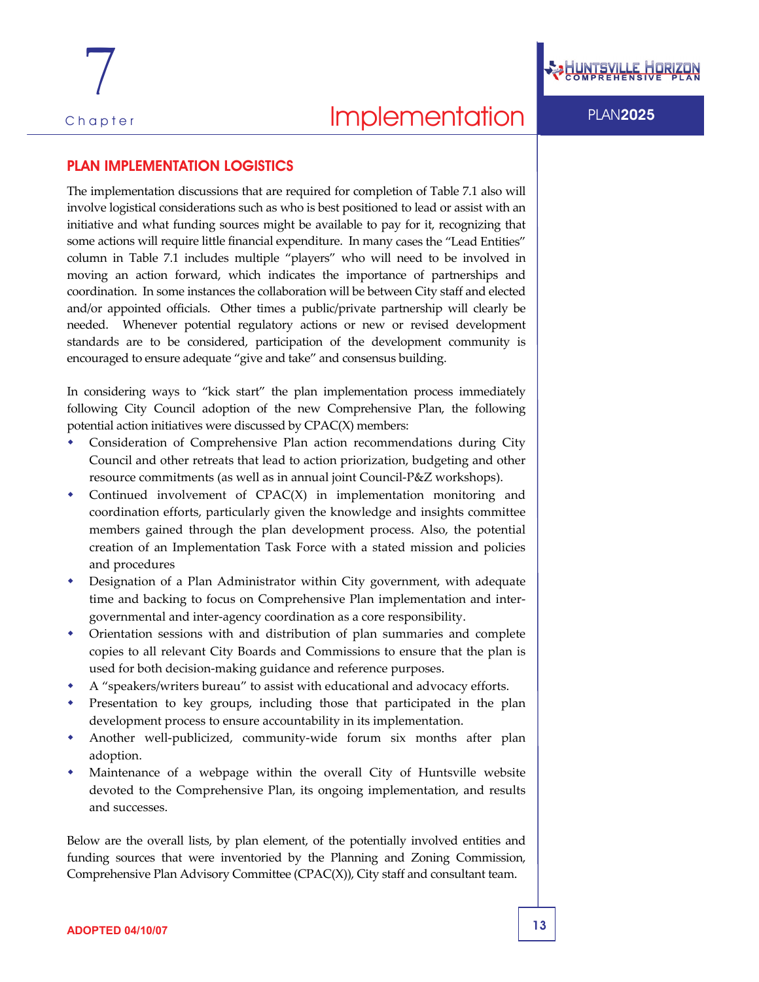### PLAN IMPLEMENTATION LOGISTICS

The implementation discussions that are required for completion of Table 7.1 also will involve logistical considerations such as who is best positioned to lead or assist with an initiative and what funding sources might be available to pay for it, recognizing that some actions will require little financial expenditure. In many cases the "Lead Entities" column in Table 7.1 includes multiple "players" who will need to be involved in moving an action forward, which indicates the importance of partnerships and coordination. In some instances the collaboration will be between City staff and elected and/or appointed officials. Other times a public/private partnership will clearly be needed. Whenever potential regulatory actions or new or revised development standards are to be considered, participation of the development community is encouraged to ensure adequate "give and take" and consensus building.

In considering ways to "kick start" the plan implementation process immediately following City Council adoption of the new Comprehensive Plan, the following potential action initiatives were discussed by CPAC(X) members:

- Consideration of Comprehensive Plan action recommendations during City Council and other retreats that lead to action priorization, budgeting and other resource commitments (as well as in annual joint Council‐P&Z workshops).
- Continued involvement of CPAC(X) in implementation monitoring and coordination efforts, particularly given the knowledge and insights committee members gained through the plan development process. Also, the potential creation of an Implementation Task Force with a stated mission and policies and procedures
- Designation of a Plan Administrator within City government, with adequate time and backing to focus on Comprehensive Plan implementation and intergovernmental and inter‐agency coordination as a core responsibility.
- Orientation sessions with and distribution of plan summaries and complete copies to all relevant City Boards and Commissions to ensure that the plan is used for both decision‐making guidance and reference purposes.
- A "speakers/writers bureau" to assist with educational and advocacy efforts.
- Presentation to key groups, including those that participated in the plan development process to ensure accountability in its implementation.
- Another well-publicized, community-wide forum six months after plan adoption.
- Maintenance of a webpage within the overall City of Huntsville website devoted to the Comprehensive Plan, its ongoing implementation, and results and successes.

Below are the overall lists, by plan element, of the potentially involved entities and funding sources that were inventoried by the Planning and Zoning Commission, Comprehensive Plan Advisory Committee (CPAC(X)), City staff and consultant team.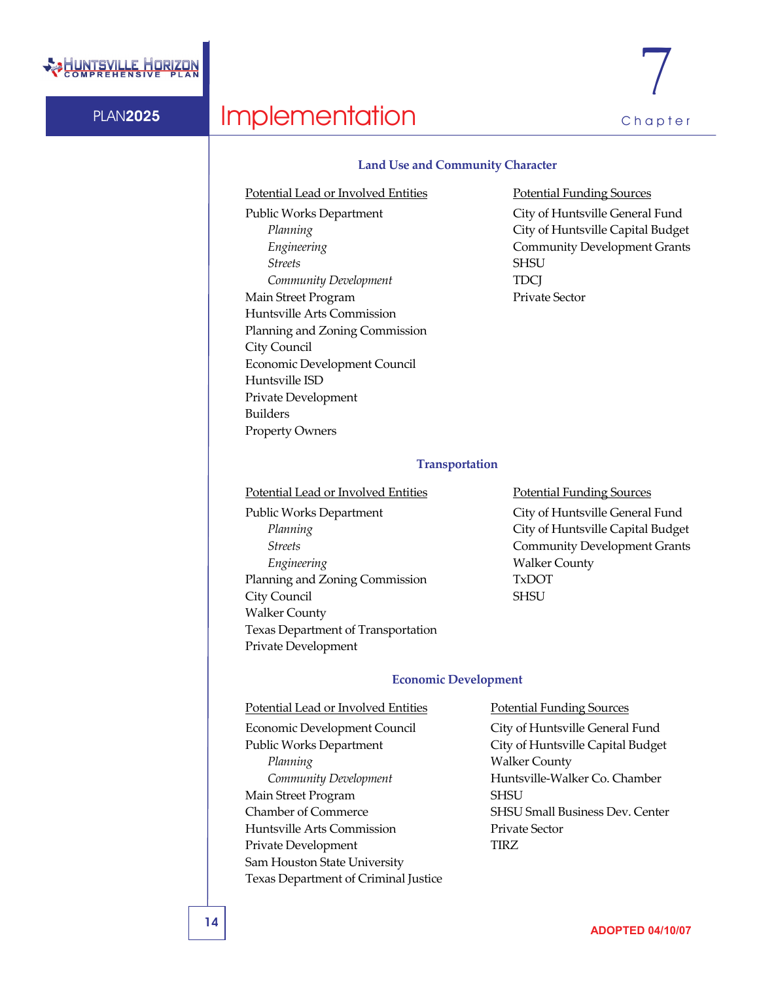

# PLAN2025 Implementation Chapter

### **Land Use and Community Character**

Potential Lead or Involved Entities **Potential Funding Sources** Public Works Department City of Huntsville General Fund **Streets** SHSU *Community Development* TDCJ Main Street Program Private Sector Huntsville Arts Commission Planning and Zoning Commission City Council Economic Development Council Huntsville ISD Private Development Builders Property Owners

*Planning* City of Huntsville Capital Budget *Engineering* **Community Development Grants** 

### **Transportation**

Potential Lead or Involved Entities **Potential Funding Sources** 

Public Works Department City of Huntsville General Fund **Engineering** Walker County Planning and Zoning Commission TxDOT City Council SHSU Walker County Texas Department of Transportation Private Development

*Planning* City of Huntsville Capital Budget **Streets** Community Development Grants

### **Economic Development**

### Potential Lead or Involved Entities Potential Funding Sources Economic Development Council City of Huntsville General Fund Public Works Department City of Huntsville Capital Budget *Planning* Walker County Main Street Program SHSU Chamber of Commerce SHSU Small Business Dev. Center Huntsville Arts Commission Private Sector Private Development TIRZ Sam Houston State University Texas Department of Criminal Justice

*Community Development* Huntsville-Walker Co. Chamber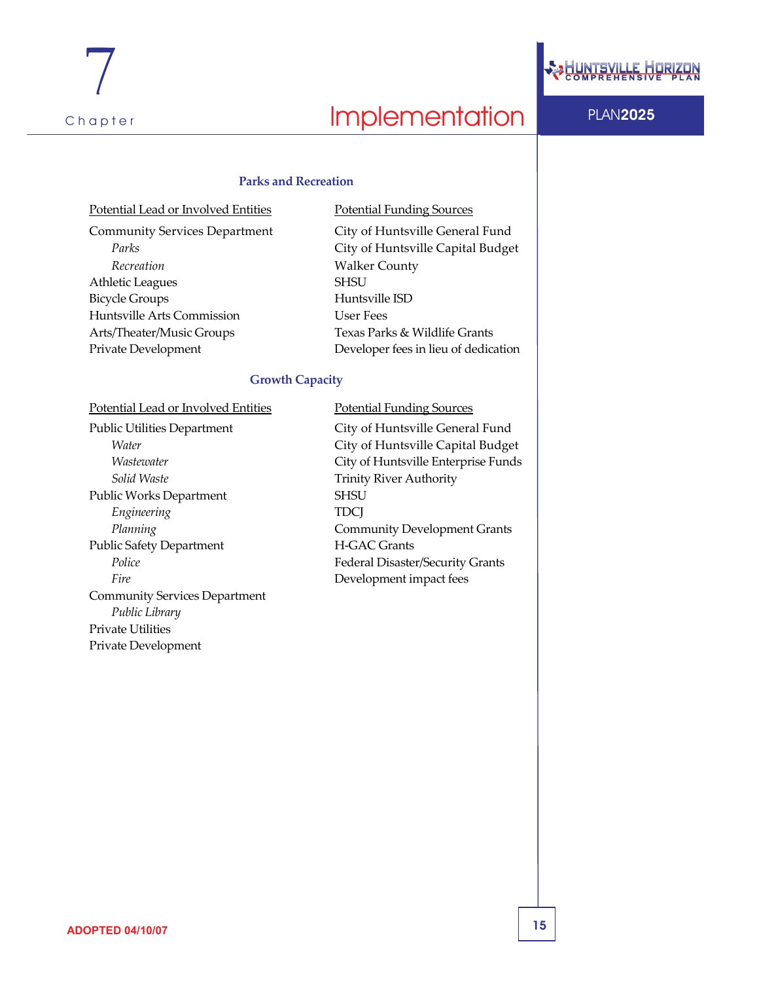

### **Parks and Recreation**

| Potential Lead or Involved Entities  | <b>Potential Funding Sources</b> |  |  |
|--------------------------------------|----------------------------------|--|--|
| <b>Community Services Department</b> | City of Huntsville Genera        |  |  |
| Parks                                | City of Huntsville Capita        |  |  |
| Recreation                           | <b>Walker County</b>             |  |  |
| Athletic Leagues                     | <b>SHSU</b>                      |  |  |
| <b>Bicycle Groups</b>                | Huntsville ISD                   |  |  |
| Huntsville Arts Commission           | User Fees                        |  |  |
| Arts/Theater/Music Groups            | Texas Parks & Wildlife Gra       |  |  |
| Private Development                  | Developer fees in lieu of de     |  |  |
|                                      |                                  |  |  |

City of Huntsville General Fund *Parks* City of Huntsville Capital Budget **Walker County** Huntsville ISD **User Fees** Texas Parks & Wildlife Grants Developer fees in lieu of dedication

### **Growth Capacity**

Potential Lead or Involved Entities Potential Funding Sources

**Solid** Waste **Trinity River Authority** Public Works Department SHSU *Engineering* TDCJ Public Safety Department H-GAC Grants *Fire* Development impact fees Community Services Department *Public Library* Private Utilities Private Development

Public Utilities Department City of Huntsville General Fund *Water* City of Huntsville Capital Budget *Wastewater* City of Huntsville Enterprise Funds *Planning* **Community Development Grants** Police **Police Police Product Federal Disaster/Security Grants**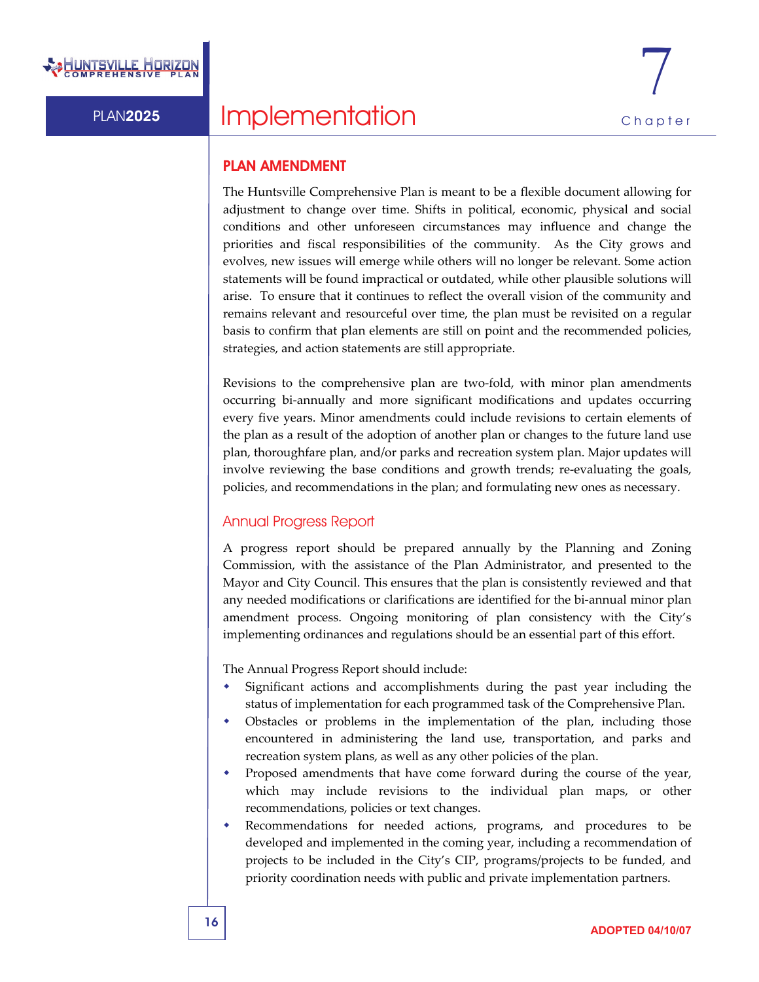### PLAN AMENDMENT

The Huntsville Comprehensive Plan is meant to be a flexible document allowing for adjustment to change over time. Shifts in political, economic, physical and social conditions and other unforeseen circumstances may influence and change the priorities and fiscal responsibilities of the community. As the City grows and evolves, new issues will emerge while others will no longer be relevant. Some action statements will be found impractical or outdated, while other plausible solutions will arise. To ensure that it continues to reflect the overall vision of the community and remains relevant and resourceful over time, the plan must be revisited on a regular basis to confirm that plan elements are still on point and the recommended policies, strategies, and action statements are still appropriate.

Revisions to the comprehensive plan are two-fold, with minor plan amendments occurring bi‐annually and more significant modifications and updates occurring every five years. Minor amendments could include revisions to certain elements of the plan as a result of the adoption of another plan or changes to the future land use plan, thoroughfare plan, and/or parks and recreation system plan. Major updates will involve reviewing the base conditions and growth trends; re-evaluating the goals, policies, and recommendations in the plan; and formulating new ones as necessary.

### Annual Progress Report

A progress report should be prepared annually by the Planning and Zoning Commission, with the assistance of the Plan Administrator, and presented to the Mayor and City Council. This ensures that the plan is consistently reviewed and that any needed modifications or clarifications are identified for the bi‐annual minor plan amendment process. Ongoing monitoring of plan consistency with the City's implementing ordinances and regulations should be an essential part of this effort.

The Annual Progress Report should include:

- Significant actions and accomplishments during the past year including the status of implementation for each programmed task of the Comprehensive Plan.
- Obstacles or problems in the implementation of the plan, including those encountered in administering the land use, transportation, and parks and recreation system plans, as well as any other policies of the plan.
- Proposed amendments that have come forward during the course of the year, which may include revisions to the individual plan maps, or other recommendations, policies or text changes.
- Recommendations for needed actions, programs, and procedures to be developed and implemented in the coming year, including a recommendation of projects to be included in the City's CIP, programs/projects to be funded, and priority coordination needs with public and private implementation partners.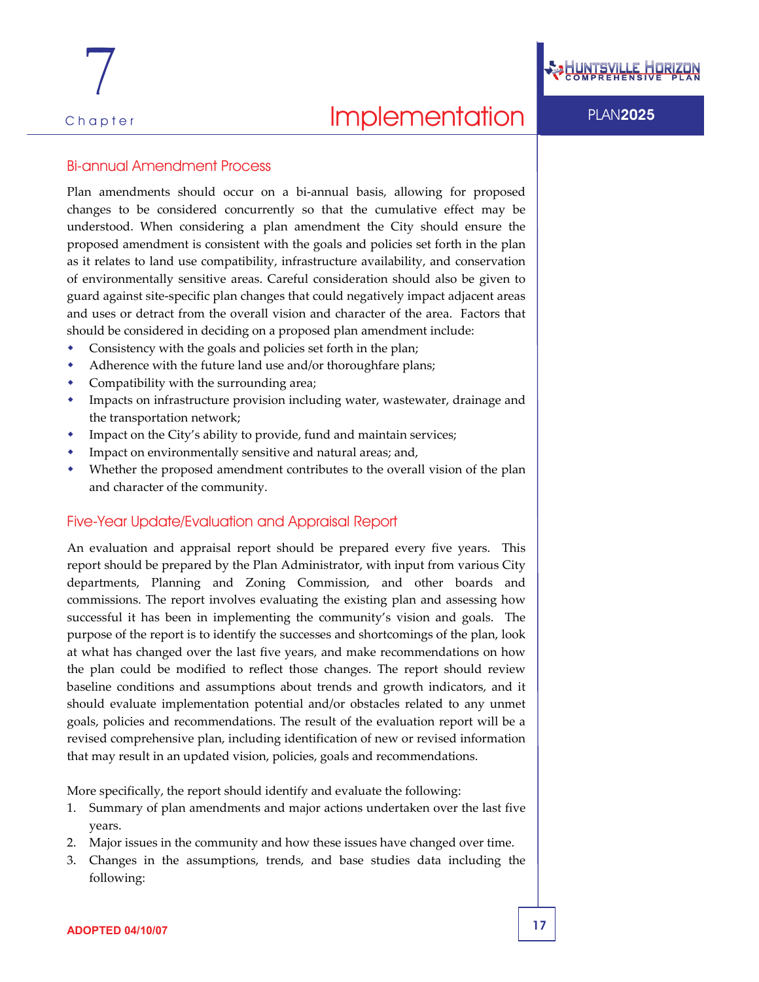7

### Bi-annual Amendment Process

Plan amendments should occur on a bi‐annual basis, allowing for proposed changes to be considered concurrently so that the cumulative effect may be understood. When considering a plan amendment the City should ensure the proposed amendment is consistent with the goals and policies set forth in the plan as it relates to land use compatibility, infrastructure availability, and conservation of environmentally sensitive areas. Careful consideration should also be given to guard against site‐specific plan changes that could negatively impact adjacent areas and uses or detract from the overall vision and character of the area. Factors that should be considered in deciding on a proposed plan amendment include:

- Consistency with the goals and policies set forth in the plan;
- Adherence with the future land use and/or thoroughfare plans;
- Compatibility with the surrounding area;
- Impacts on infrastructure provision including water, wastewater, drainage and the transportation network;
- Impact on the City's ability to provide, fund and maintain services;
- Impact on environmentally sensitive and natural areas; and,
- Whether the proposed amendment contributes to the overall vision of the plan and character of the community.

### Five-Year Update/Evaluation and Appraisal Report

An evaluation and appraisal report should be prepared every five years. This report should be prepared by the Plan Administrator, with input from various City departments, Planning and Zoning Commission, and other boards and commissions. The report involves evaluating the existing plan and assessing how successful it has been in implementing the community's vision and goals. The purpose of the report is to identify the successes and shortcomings of the plan, look at what has changed over the last five years, and make recommendations on how the plan could be modified to reflect those changes. The report should review baseline conditions and assumptions about trends and growth indicators, and it should evaluate implementation potential and/or obstacles related to any unmet goals, policies and recommendations. The result of the evaluation report will be a revised comprehensive plan, including identification of new or revised information that may result in an updated vision, policies, goals and recommendations.

More specifically, the report should identify and evaluate the following:

- 1. Summary of plan amendments and major actions undertaken over the last five years.
- 2. Major issues in the community and how these issues have changed over time.
- 3. Changes in the assumptions, trends, and base studies data including the following: